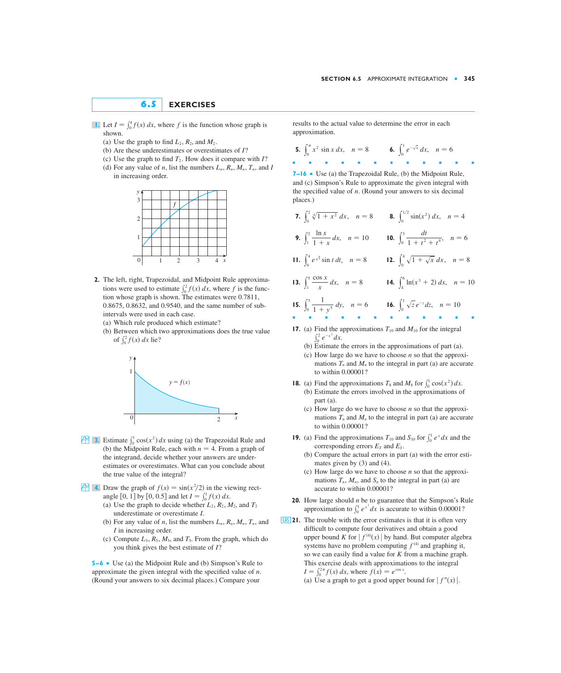## **6.5 EXERCISES**

- **I.** Let  $I = \int_0^4 f(x) dx$ , where f is the function whose graph is shown.
	- (a) Use the graph to find  $L_2$ ,  $R_2$ , and  $M_2$ .
	- (b) Are these underestimates or overestimates of ? *I*
	- (c) Use the graph to find  $T_2$ . How does it compare with  $I$ ?
	- (d) For any value of *n*, list the numbers  $L_n$ ,  $R_n$ ,  $M_n$ ,  $T_n$ , and *I* in increasing order.



- **2.** The left, right, Trapezoidal, and Midpoint Rule approximations were used to estimate  $\int_0^2 f(x) dx$ , where f is the function whose graph is shown. The estimates were 0.7811, 0.8675, 0.8632, and 0.9540, and the same number of subintervals were used in each case.
	- (a) Which rule produced which estimate?
	- (b) Between which two approximations does the true value of  $\int_0^2 f(x) dx$  lie?



- **3.** Estimate  $\int_0^1 \cos(x^2) dx$  using (a) the Trapezoidal Rule and (b) the Midpoint Rule, each with  $n = 4$ . From a graph of the integrand, decide whether your answers are underestimates or overestimates. What can you conclude about the true value of the integral?
- *f* $\bullet$  **<b>4.** Draw the graph of  $f(x) = \sin(x^2/2)$  in the viewing rectangle [0, 1] by [0, 0.5] and let  $I = \int_0^1 f(x) dx$ .
	- (a) Use the graph to decide whether  $L_2$ ,  $R_2$ ,  $M_2$ , and  $T_2$ underestimate or overestimate I.
	- (b) For any value of *n*, list the numbers  $L_n$ ,  $R_n$ ,  $M_n$ ,  $T_n$ , and I in increasing order.
	- (c) Compute  $L_5$ ,  $R_5$ ,  $M_5$ , and  $T_5$ . From the graph, which do you think gives the best estimate of  $I$ ?

**5–6** ■ Use (a) the Midpoint Rule and (b) Simpson's Rule to approximate the given integral with the specified value of  $n$ . (Round your answers to six decimal places.) Compare your

results to the actual value to determine the error in each approximation.

- **5.**  $\int_0^{\pi} x^2 \sin x \, dx$ ,  $n = 8$  **6.**  $\int_0^1 e^{-\sqrt{x}} \, dx$ ,  $n = 6$ ■■■■■■■■■■■■
- **7–16** Use (a) the Trapezoidal Rule, (b) the Midpoint Rule, and (c) Simpson's Rule to approximate the given integral with the specified value of  $n$ . (Round your answers to six decimal places.)
- **7.**  $\int_0^2 \sqrt[4]{1 + x^2} \, dx$ ,  $n = 8$  **8.**  $\int_0^{1/2} \sin(x^2) \, dx$ ,  $n = 4$ **9.**  $\int_{1}^{2} \frac{\ln x}{1+x} dx$ ,  $n = 10$  **10.**  $\int_{0}^{3} \frac{dt}{1+t^{2}+t^{4}}$ ,  $n = 6$ **11.**  $\int_0^4 e^{\sqrt{t}} \sin t \, dt$ ,  $n = 8$  **12.**  $\int_0^4 \sqrt{1 + \sqrt{x}} \, dx$ ,  $n = 8$ **13.**  $\int_{1}^{5} \frac{\cos x}{x} dx$ ,  $n = 8$  **14.**  $\int_{4}^{6} \ln(x^3 + 2) dx$ ,  $n = 10$ 1  $\frac{\cos x}{x} dx$ *dt*  $\int_1^2 \frac{\ln x}{1+x} dx$ ,  $n = 10$  **to.**  $\int_0^3 \frac{dt}{1+t^2+t^4}$  $\frac{\ln x}{1+x} dx$

**15.** 
$$
\int_0^3 \frac{1}{1+y^5} dy
$$
,  $n = 6$  **16.**  $\int_0^1 \sqrt{z} e^{-z} dz$ ,  $n = 10$ 

- **17.** (a) Find the approximations  $T_{10}$  and  $M_{10}$  for the integral  $\int_0^2 e^{-x^2} dx$ .
	- (b) Estimate the errors in the approximations of part (a).
	- (c) How large do we have to choose  $n$  so that the approximations  $T_n$  and  $M_n$  to the integral in part (a) are accurate to within 0.00001?
- **18.** (a) Find the approximations  $T_8$  and  $M_8$  for  $\int_0^1 \cos(x^2) dx$ .
	- (b) Estimate the errors involved in the approximations of part (a).
	- (c) How large do we have to choose  $n$  so that the approximations  $T_n$  and  $M_n$  to the integral in part (a) are accurate to within 0.00001?
- **19.** (a) Find the approximations  $T_{10}$  and  $S_{10}$  for  $\int_0^1 e^x dx$  and the corresponding errors  $E_T$  and  $E_S$ .
	- (b) Compare the actual errors in part (a) with the error estimates given by (3) and (4).
	- (c) How large do we have to choose  $n$  so that the approximations  $T_n$ ,  $M_n$ , and  $S_n$  to the integral in part (a) are accurate to within 0.00001?
- **20.** How large should *n* be to guarantee that the Simpson's Rule approximation to  $\int_0^1 e^{x^2} dx$  is accurate to within 0.00001?
- **21.** The trouble with the error estimates is that it is often very CAS difficult to compute four derivatives and obtain a good upper bound K for  $|f^{(4)}(x)|$  by hand. But computer algebra systems have no problem computing  $f^{(4)}$  and graphing it, so we can easily find a value for  $K$  from a machine graph. This exercise deals with approximations to the integral  $I = \int_0^{2\pi} f(x) \, dx$ , where  $f(x) = e^{\cos x}$ .
	- (a) Use a graph to get a good upper bound for  $|f''(x)|$ .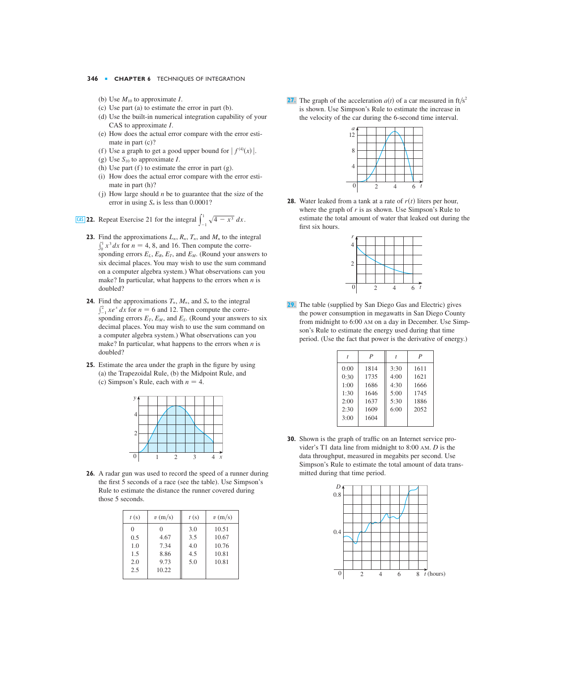- (b) Use  $M_{10}$  to approximate *I*.
- (c) Use part (a) to estimate the error in part (b).
- (d) Use the built-in numerical integration capability of your CAS to approximate *I*.
- (e) How does the actual error compare with the error estimate in part (c)?
- (f) Use a graph to get a good upper bound for  $|f^{(4)}(x)|$ .
- (g) Use  $S_{10}$  to approximate *I*.
- (h) Use part (f) to estimate the error in part  $(g)$ .
- (i) How does the actual error compare with the error estimate in part (h)?
- (j) How large should  $n$  be to guarantee that the size of the error in using  $S_n$  is less than  $0.0001$ ?

**22.** Repeat Exercise 21 for the integral  $\int_{-1}^{1} \sqrt{4 - x^3} dx$ . **(AS) 22.** Repeat Exercise 21 for the integral  $\int_{-1}^{1} \sqrt{4 - x^3} dx$ 

- **23.** Find the approximations  $L_n$ ,  $R_n$ ,  $T_n$ , and  $M_n$  to the integral  $\int_0^1 x^3 dx$  for  $n = 4, 8$ , and 16. Then compute the corresponding errors  $E_L$ ,  $E_R$ ,  $E_T$ , and  $E_M$ . (Round your answers to six decimal places. You may wish to use the sum command on a computer algebra system.) What observations can you make? In particular, what happens to the errors when  $n$  is doubled?
- **24.** Find the approximations  $T_n$ ,  $M_n$ , and  $S_n$  to the integral  $\int_{-1}^{2} xe^{x} dx$  for  $n = 6$  and 12. Then compute the corresponding errors  $E_T$ ,  $E_M$ , and  $E_S$ . (Round your answers to six decimal places. You may wish to use the sum command on a computer algebra system.) What observations can you make? In particular, what happens to the errors when  $n$  is doubled?
- **25.** Estimate the area under the graph in the figure by using (a) the Trapezoidal Rule, (b) the Midpoint Rule, and (c) Simpson's Rule, each with  $n = 4$ .



**26.** A radar gun was used to record the speed of a runner during the first 5 seconds of a race (see the table). Use Simpson's Rule to estimate the distance the runner covered during those 5 seconds.

| t(s)     | v(m/s) | t(s) | v(m/s) |
|----------|--------|------|--------|
| $\Omega$ | 0      | 3.0  | 10.51  |
| 0.5      | 4.67   | 3.5  | 10.67  |
| 1.0      | 7.34   | 4.0  | 10.76  |
| 1.5      | 8.86   | 4.5  | 10.81  |
| 2.0      | 9.73   | 5.0  | 10.81  |
| 2.5      | 10.22  |      |        |
|          |        |      |        |

(b) Use  $M_{10}$  to approximate *I*. **27.** The graph of the acceleration  $a(t)$  of a car measured in ft/s<sup>2</sup> is shown. Use Simpson's Rule to estimate the increase in the velocity of the car during the 6-second time interval.



**28.** Water leaked from a tank at a rate of  $r(t)$  liters per hour, where the graph of  $r$  is as shown. Use Simpson's Rule to estimate the total amount of water that leaked out during the first six hours.



The table (supplied by San Diego Gas and Electric) gives the power consumption in megawatts in San Diego County from midnight to 6:00 AM on a day in December. Use Simpson's Rule to estimate the energy used during that time period. (Use the fact that power is the derivative of energy.) **29.**

|      | $\boldsymbol{P}$ |      | $\boldsymbol{P}$ |
|------|------------------|------|------------------|
| 0:00 | 1814             | 3:30 | 1611             |
| 0:30 | 1735             | 4:00 | 1621             |
| 1:00 | 1686             | 4:30 | 1666             |
| 1:30 | 1646             | 5:00 | 1745             |
| 2:00 | 1637             | 5:30 | 1886             |
| 2:30 | 1609             | 6:00 | 2052             |
| 3:00 | 1604             |      |                  |
|      |                  |      |                  |

**30.** Shown is the graph of traffic on an Internet service provider's T1 data line from midnight to  $8:00$  AM.  $D$  is the data throughput, measured in megabits per second. Use Simpson's Rule to estimate the total amount of data transmitted during that time period.